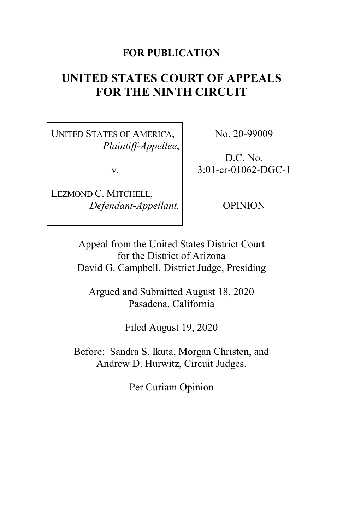#### **FOR PUBLICATION**

# **UNITED STATES COURT OF APPEALS FOR THE NINTH CIRCUIT**

UNITED STATES OF AMERICA, *Plaintiff-Appellee*,

v.

LEZMOND C. MITCHELL, *Defendant-Appellant.* No. 20-99009

D.C. No. 3:01-cr-01062-DGC-1

OPINION

Appeal from the United States District Court for the District of Arizona David G. Campbell, District Judge, Presiding

Argued and Submitted August 18, 2020 Pasadena, California

Filed August 19, 2020

Before: Sandra S. Ikuta, Morgan Christen, and Andrew D. Hurwitz, Circuit Judges.

Per Curiam Opinion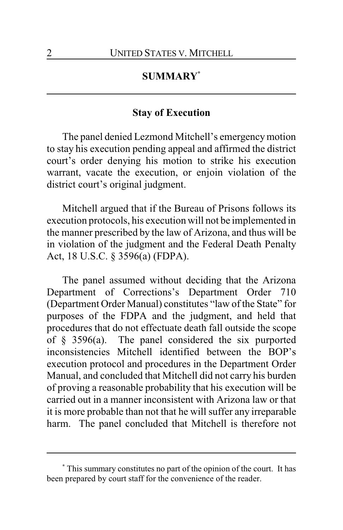## **SUMMARY\***

#### **Stay of Execution**

The panel denied Lezmond Mitchell's emergencymotion to stay his execution pending appeal and affirmed the district court's order denying his motion to strike his execution warrant, vacate the execution, or enjoin violation of the district court's original judgment.

Mitchell argued that if the Bureau of Prisons follows its execution protocols, his execution will not be implemented in the manner prescribed by the law of Arizona, and thus will be in violation of the judgment and the Federal Death Penalty Act, 18 U.S.C. § 3596(a) (FDPA).

The panel assumed without deciding that the Arizona Department of Corrections's Department Order 710 (Department Order Manual) constitutes "law of the State" for purposes of the FDPA and the judgment, and held that procedures that do not effectuate death fall outside the scope of  $§$  3596(a). The panel considered the six purported inconsistencies Mitchell identified between the BOP's execution protocol and procedures in the Department Order Manual, and concluded that Mitchell did not carry his burden of proving a reasonable probability that his execution will be carried out in a manner inconsistent with Arizona law or that it is more probable than not that he will suffer any irreparable harm. The panel concluded that Mitchell is therefore not

**<sup>\*</sup>** This summary constitutes no part of the opinion of the court. It has been prepared by court staff for the convenience of the reader.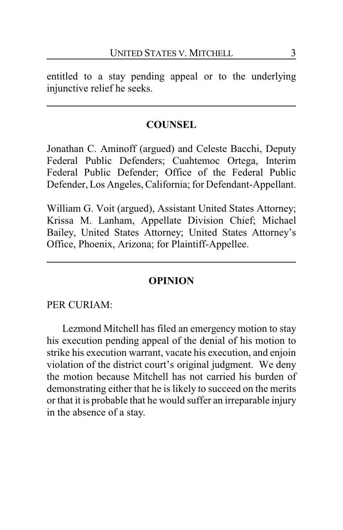entitled to a stay pending appeal or to the underlying injunctive relief he seeks.

### **COUNSEL**

Jonathan C. Aminoff (argued) and Celeste Bacchi, Deputy Federal Public Defenders; Cuahtemoc Ortega, Interim Federal Public Defender; Office of the Federal Public Defender, Los Angeles, California; for Defendant-Appellant.

William G. Voit (argued), Assistant United States Attorney; Krissa M. Lanham, Appellate Division Chief; Michael Bailey, United States Attorney; United States Attorney's Office, Phoenix, Arizona; for Plaintiff-Appellee.

#### **OPINION**

PER CURIAM:

Lezmond Mitchell has filed an emergency motion to stay his execution pending appeal of the denial of his motion to strike his execution warrant, vacate his execution, and enjoin violation of the district court's original judgment. We deny the motion because Mitchell has not carried his burden of demonstrating either that he is likely to succeed on the merits or that it is probable that he would suffer an irreparable injury in the absence of a stay.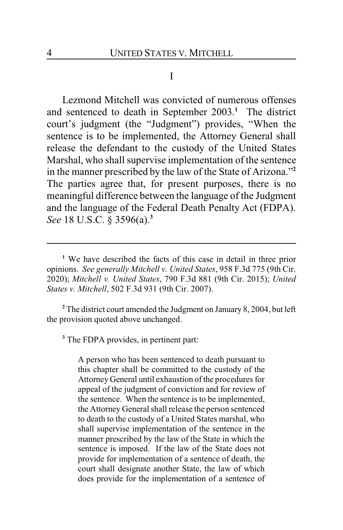#### I

Lezmond Mitchell was convicted of numerous offenses and sentenced to death in September 2003.**<sup>1</sup>** The district court's judgment (the "Judgment") provides, "When the sentence is to be implemented, the Attorney General shall release the defendant to the custody of the United States Marshal, who shall supervise implementation of the sentence in the manner prescribed by the law of the State of Arizona."**<sup>2</sup>** The parties agree that, for present purposes, there is no meaningful difference between the language of the Judgment and the language of the Federal Death Penalty Act (FDPA). *See* 18 U.S.C. § 3596(a).**<sup>3</sup>**

**<sup>2</sup>** The district court amended the Judgment on January 8, 2004, but left the provision quoted above unchanged.

**3** The FDPA provides, in pertinent part:

A person who has been sentenced to death pursuant to this chapter shall be committed to the custody of the Attorney General until exhaustion of the procedures for appeal of the judgment of conviction and for review of the sentence. When the sentence is to be implemented, the Attorney General shall release the person sentenced to death to the custody of a United States marshal, who shall supervise implementation of the sentence in the manner prescribed by the law of the State in which the sentence is imposed. If the law of the State does not provide for implementation of a sentence of death, the court shall designate another State, the law of which does provide for the implementation of a sentence of

**<sup>1</sup>** We have described the facts of this case in detail in three prior opinions. *See generally Mitchell v. United States*, 958 F.3d 775 (9th Cir. 2020); *Mitchell v. United States*, 790 F.3d 881 (9th Cir. 2015); *United States v. Mitchell*, 502 F.3d 931 (9th Cir. 2007).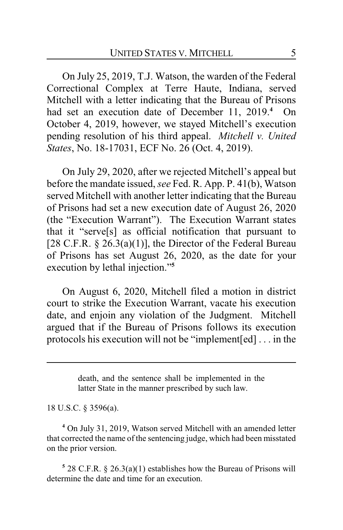On July 25, 2019, T.J. Watson, the warden of the Federal Correctional Complex at Terre Haute, Indiana, served Mitchell with a letter indicating that the Bureau of Prisons had set an execution date of December 11, 2019.**<sup>4</sup>** On October 4, 2019, however, we stayed Mitchell's execution pending resolution of his third appeal. *Mitchell v. United States*, No. 18-17031, ECF No. 26 (Oct. 4, 2019).

On July 29, 2020, after we rejected Mitchell's appeal but before the mandate issued, *see* Fed. R. App. P. 41(b), Watson served Mitchell with another letter indicating that the Bureau of Prisons had set a new execution date of August 26, 2020 (the "Execution Warrant"). The Execution Warrant states that it "serve[s] as official notification that pursuant to [28 C.F.R.  $\S$  26.3(a)(1)], the Director of the Federal Bureau of Prisons has set August 26, 2020, as the date for your execution by lethal injection."**<sup>5</sup>**

On August 6, 2020, Mitchell filed a motion in district court to strike the Execution Warrant, vacate his execution date, and enjoin any violation of the Judgment. Mitchell argued that if the Bureau of Prisons follows its execution protocols his execution will not be "implement[ed] . . . in the

> death, and the sentence shall be implemented in the latter State in the manner prescribed by such law.

18 U.S.C. § 3596(a).

**<sup>4</sup>** On July 31, 2019, Watson served Mitchell with an amended letter that corrected the name of the sentencing judge, which had been misstated on the prior version.

**5** 28 C.F.R. § 26.3(a)(1) establishes how the Bureau of Prisons will determine the date and time for an execution.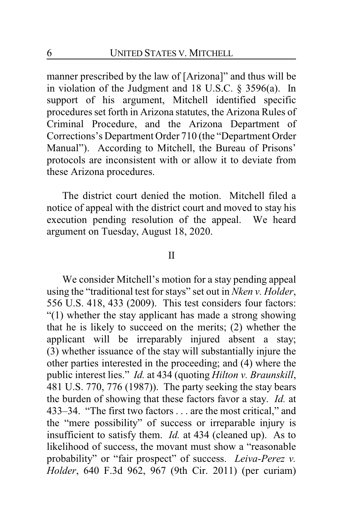manner prescribed by the law of [Arizona]" and thus will be in violation of the Judgment and 18 U.S.C. § 3596(a). In support of his argument, Mitchell identified specific procedures set forth in Arizona statutes, the Arizona Rules of Criminal Procedure, and the Arizona Department of Corrections's Department Order 710 (the "Department Order Manual"). According to Mitchell, the Bureau of Prisons' protocols are inconsistent with or allow it to deviate from these Arizona procedures.

The district court denied the motion. Mitchell filed a notice of appeal with the district court and moved to stay his execution pending resolution of the appeal. We heard argument on Tuesday, August 18, 2020.

#### II

We consider Mitchell's motion for a stay pending appeal using the "traditional test for stays" set out in *Nken v. Holder*, 556 U.S. 418, 433 (2009). This test considers four factors: "(1) whether the stay applicant has made a strong showing that he is likely to succeed on the merits; (2) whether the applicant will be irreparably injured absent a stay; (3) whether issuance of the stay will substantially injure the other parties interested in the proceeding; and (4) where the public interest lies." *Id.* at 434 (quoting *Hilton v. Braunskill*, 481 U.S. 770, 776 (1987)). The party seeking the stay bears the burden of showing that these factors favor a stay. *Id.* at 433–34. "The first two factors . . . are the most critical," and the "mere possibility" of success or irreparable injury is insufficient to satisfy them. *Id.* at 434 (cleaned up). As to likelihood of success, the movant must show a "reasonable probability" or "fair prospect" of success. *Leiva-Perez v. Holder*, 640 F.3d 962, 967 (9th Cir. 2011) (per curiam)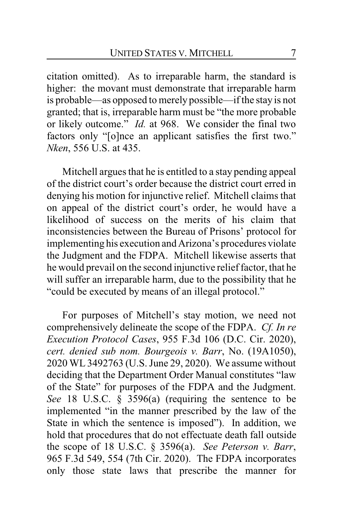citation omitted). As to irreparable harm, the standard is higher: the movant must demonstrate that irreparable harm is probable—as opposed to merely possible—if the stay is not granted; that is, irreparable harm must be "the more probable or likely outcome." *Id.* at 968. We consider the final two factors only "[o]nce an applicant satisfies the first two." *Nken*, 556 U.S. at 435.

Mitchell argues that he is entitled to a stay pending appeal of the district court's order because the district court erred in denying his motion for injunctive relief. Mitchell claims that on appeal of the district court's order, he would have a likelihood of success on the merits of his claim that inconsistencies between the Bureau of Prisons' protocol for implementing his execution and Arizona's procedures violate the Judgment and the FDPA. Mitchell likewise asserts that he would prevail on the second injunctive relief factor, that he will suffer an irreparable harm, due to the possibility that he "could be executed by means of an illegal protocol."

For purposes of Mitchell's stay motion, we need not comprehensively delineate the scope of the FDPA. *Cf. In re Execution Protocol Cases*, 955 F.3d 106 (D.C. Cir. 2020), *cert. denied sub nom. Bourgeois v. Barr*, No. (19A1050), 2020 WL 3492763 (U.S. June 29, 2020). We assume without deciding that the Department Order Manual constitutes "law of the State" for purposes of the FDPA and the Judgment. *See* 18 U.S.C. § 3596(a) (requiring the sentence to be implemented "in the manner prescribed by the law of the State in which the sentence is imposed"). In addition, we hold that procedures that do not effectuate death fall outside the scope of 18 U.S.C. § 3596(a). *See Peterson v. Barr*, 965 F.3d 549, 554 (7th Cir. 2020). The FDPA incorporates only those state laws that prescribe the manner for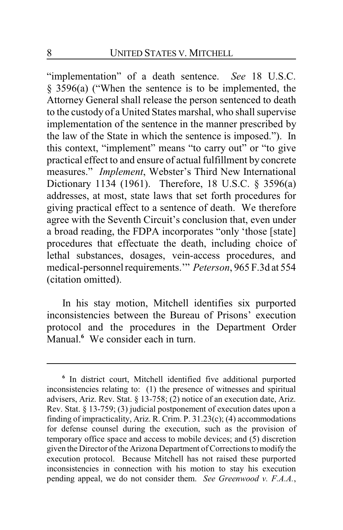"implementation" of a death sentence. *See* 18 U.S.C. § 3596(a) ("When the sentence is to be implemented, the Attorney General shall release the person sentenced to death to the custody of a United States marshal, who shall supervise implementation of the sentence in the manner prescribed by the law of the State in which the sentence is imposed."). In this context, "implement" means "to carry out" or "to give practical effect to and ensure of actual fulfillment by concrete measures." *Implement*, Webster's Third New International Dictionary 1134 (1961). Therefore, 18 U.S.C. § 3596(a) addresses, at most, state laws that set forth procedures for giving practical effect to a sentence of death. We therefore agree with the Seventh Circuit's conclusion that, even under a broad reading, the FDPA incorporates "only 'those [state] procedures that effectuate the death, including choice of lethal substances, dosages, vein-access procedures, and medical-personnel requirements.'" *Peterson*, 965 F.3d at 554 (citation omitted).

In his stay motion, Mitchell identifies six purported inconsistencies between the Bureau of Prisons' execution protocol and the procedures in the Department Order Manual.**<sup>6</sup>** We consider each in turn.

**<sup>6</sup>** In district court, Mitchell identified five additional purported inconsistencies relating to: (1) the presence of witnesses and spiritual advisers, Ariz. Rev. Stat. § 13-758; (2) notice of an execution date, Ariz. Rev. Stat. § 13-759; (3) judicial postponement of execution dates upon a finding of impracticality, Ariz. R. Crim. P. 31.23(c); (4) accommodations for defense counsel during the execution, such as the provision of temporary office space and access to mobile devices; and (5) discretion given the Director of the Arizona Department of Corrections to modify the execution protocol. Because Mitchell has not raised these purported inconsistencies in connection with his motion to stay his execution pending appeal, we do not consider them. *See Greenwood v. F.A.A.*,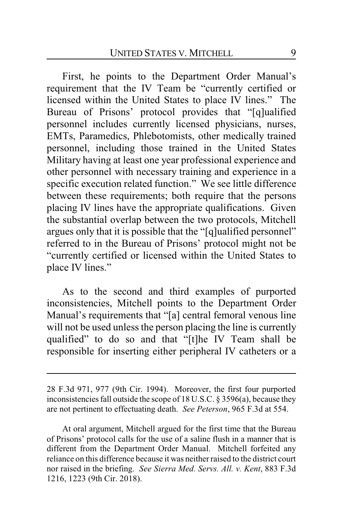First, he points to the Department Order Manual's requirement that the IV Team be "currently certified or licensed within the United States to place IV lines." The Bureau of Prisons' protocol provides that "[q]ualified personnel includes currently licensed physicians, nurses, EMTs, Paramedics, Phlebotomists, other medically trained personnel, including those trained in the United States Military having at least one year professional experience and other personnel with necessary training and experience in a specific execution related function." We see little difference between these requirements; both require that the persons placing IV lines have the appropriate qualifications. Given the substantial overlap between the two protocols, Mitchell argues only that it is possible that the "[q]ualified personnel" referred to in the Bureau of Prisons' protocol might not be "currently certified or licensed within the United States to place IV lines."

As to the second and third examples of purported inconsistencies, Mitchell points to the Department Order Manual's requirements that "[a] central femoral venous line will not be used unless the person placing the line is currently qualified" to do so and that "[t]he IV Team shall be responsible for inserting either peripheral IV catheters or a

<sup>28</sup> F.3d 971, 977 (9th Cir. 1994). Moreover, the first four purported inconsistencies fall outside the scope of 18 U.S.C. § 3596(a), because they are not pertinent to effectuating death. *See Peterson*, 965 F.3d at 554.

At oral argument, Mitchell argued for the first time that the Bureau of Prisons' protocol calls for the use of a saline flush in a manner that is different from the Department Order Manual. Mitchell forfeited any reliance on this difference because it was neither raised to the district court nor raised in the briefing. *See Sierra Med. Servs. All. v. Kent*, 883 F.3d 1216, 1223 (9th Cir. 2018).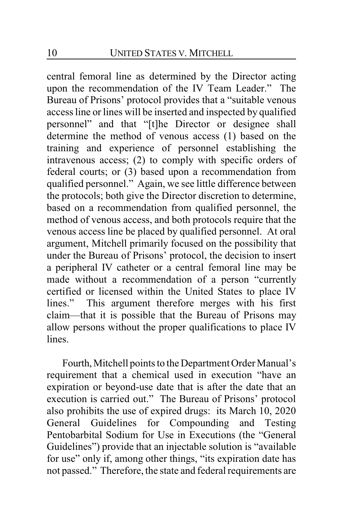central femoral line as determined by the Director acting upon the recommendation of the IV Team Leader." The Bureau of Prisons' protocol provides that a "suitable venous access line or lines will be inserted and inspected by qualified personnel" and that "[t]he Director or designee shall determine the method of venous access (1) based on the training and experience of personnel establishing the intravenous access; (2) to comply with specific orders of federal courts; or (3) based upon a recommendation from qualified personnel." Again, we see little difference between the protocols; both give the Director discretion to determine, based on a recommendation from qualified personnel, the method of venous access, and both protocols require that the venous access line be placed by qualified personnel. At oral argument, Mitchell primarily focused on the possibility that under the Bureau of Prisons' protocol, the decision to insert a peripheral IV catheter or a central femoral line may be made without a recommendation of a person "currently certified or licensed within the United States to place IV lines." This argument therefore merges with his first claim—that it is possible that the Bureau of Prisons may allow persons without the proper qualifications to place IV lines.

Fourth, Mitchell points to the Department Order Manual's requirement that a chemical used in execution "have an expiration or beyond-use date that is after the date that an execution is carried out." The Bureau of Prisons' protocol also prohibits the use of expired drugs: its March 10, 2020 General Guidelines for Compounding and Testing Pentobarbital Sodium for Use in Executions (the "General Guidelines") provide that an injectable solution is "available for use" only if, among other things, "its expiration date has not passed." Therefore, the state and federal requirements are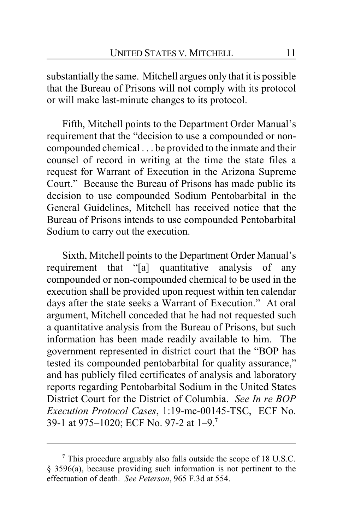substantially the same. Mitchell argues only that it is possible that the Bureau of Prisons will not comply with its protocol or will make last-minute changes to its protocol.

Fifth, Mitchell points to the Department Order Manual's requirement that the "decision to use a compounded or noncompounded chemical . . . be provided to the inmate and their counsel of record in writing at the time the state files a request for Warrant of Execution in the Arizona Supreme Court." Because the Bureau of Prisons has made public its decision to use compounded Sodium Pentobarbital in the General Guidelines, Mitchell has received notice that the Bureau of Prisons intends to use compounded Pentobarbital Sodium to carry out the execution.

Sixth, Mitchell points to the Department Order Manual's requirement that "[a] quantitative analysis of any compounded or non-compounded chemical to be used in the execution shall be provided upon request within ten calendar days after the state seeks a Warrant of Execution." At oral argument, Mitchell conceded that he had not requested such a quantitative analysis from the Bureau of Prisons, but such information has been made readily available to him. The government represented in district court that the "BOP has tested its compounded pentobarbital for quality assurance," and has publicly filed certificates of analysis and laboratory reports regarding Pentobarbital Sodium in the United States District Court for the District of Columbia. *See In re BOP Execution Protocol Cases*, 1:19-mc-00145-TSC, ECF No. 39-1 at 975–1020; ECF No. 97-2 at 1–9.**<sup>7</sup>**

**<sup>7</sup>** This procedure arguably also falls outside the scope of 18 U.S.C. § 3596(a), because providing such information is not pertinent to the effectuation of death. *See Peterson*, 965 F.3d at 554.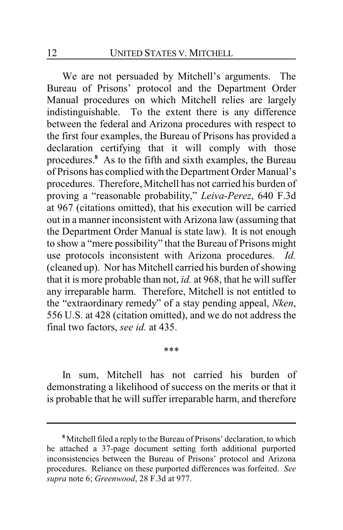We are not persuaded by Mitchell's arguments. The Bureau of Prisons' protocol and the Department Order Manual procedures on which Mitchell relies are largely indistinguishable. To the extent there is any difference between the federal and Arizona procedures with respect to the first four examples, the Bureau of Prisons has provided a declaration certifying that it will comply with those procedures.**<sup>8</sup>** As to the fifth and sixth examples, the Bureau of Prisons has complied with the Department Order Manual's procedures. Therefore, Mitchell has not carried his burden of proving a "reasonable probability," *Leiva-Perez*, 640 F.3d at 967 (citations omitted), that his execution will be carried out in a manner inconsistent with Arizona law (assuming that the Department Order Manual is state law). It is not enough to show a "mere possibility" that the Bureau of Prisons might use protocols inconsistent with Arizona procedures. *Id.* (cleaned up). Nor has Mitchell carried his burden of showing that it is more probable than not, *id.* at 968, that he will suffer any irreparable harm. Therefore, Mitchell is not entitled to the "extraordinary remedy" of a stay pending appeal, *Nken*, 556 U.S. at 428 (citation omitted), and we do not address the final two factors, *see id.* at 435.

\*\*\*

In sum, Mitchell has not carried his burden of demonstrating a likelihood of success on the merits or that it is probable that he will suffer irreparable harm, and therefore

**<sup>8</sup>** Mitchell filed a reply to the Bureau of Prisons' declaration, to which he attached a 37-page document setting forth additional purported inconsistencies between the Bureau of Prisons' protocol and Arizona procedures. Reliance on these purported differences was forfeited. *See supra* note 6; *Greenwood*, 28 F.3d at 977.